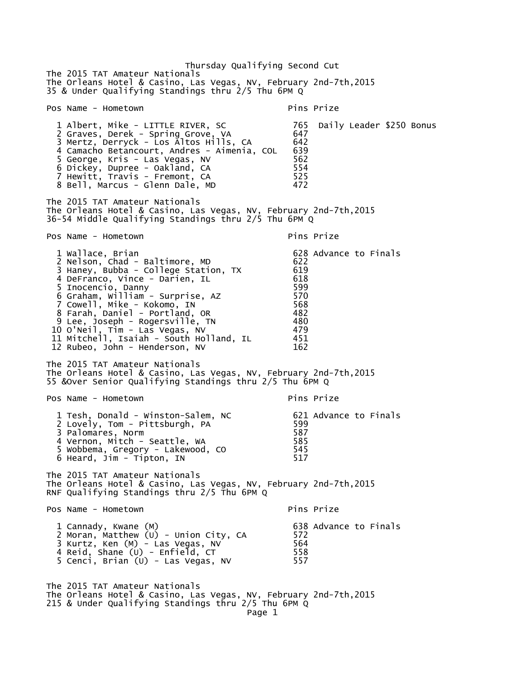Thursday Qualifying Second Cut The 2015 TAT Amateur Nationals The Orleans Hotel & Casino, Las Vegas, NV, February 2nd-7th,2015 35 & Under Qualifying Standings thru 2/5 Thu 6PM Q Pos Name - Hometown entry the primary pins Prize 1 Albert, Mike - LITTLE RIVER, SC 765 Daily Leader \$250 Bonus 2 Graves, Derek - Spring Grove, VA 647 3 Mertz, Derryck - Los Altos Hills, CA 642 4 Camacho Betancourt, Andres - Aimenia, COL 639 5 George, Kris - Las Vegas, NV 562 6 Dickey, Dupree - Oakland, CA 554 7 Hewitt, Travis - Fremont, CA 525 8 Bell, Marcus - Glenn Dale, MD 472 The 2015 TAT Amateur Nationals The Orleans Hotel & Casino, Las Vegas, NV, February 2nd-7th,2015 36-54 Middle Qualifying Standings thru 2/5 Thu 6PM Q Pos Name - Hometown Pins Prize 1 Wallace, Brian 1 (1995) 628 Advance to Finals 2 Nelson, Chad - Baltimore, MD 622 3 Haney, Bubba - College Station, TX 619 4 DeFranco, Vince - Darien, IL 618 5 Inocencio, Danny 599 6 Graham, William - Surprise, AZ 570 7 Cowell, Mike - Kokomo, IN 568 8 Farah, Daniel - Portland, OR 482 9 Lee, Joseph - Rogersville, TN 480 10 O'Neil, Tim - Las Vegas, NV 479 11 Mitchell, Isaiah - South Holland, IL 451 12 Rubeo, John - Henderson, NV 162 The 2015 TAT Amateur Nationals The Orleans Hotel & Casino, Las Vegas, NV, February 2nd-7th,2015 55 &Over Senior Qualifying Standings thru 2/5 Thu 6PM Q Pos Name - Hometown entry the primary pins Prize 1 Tesh, Donald - Winston-Salem, NC 621 Advance to Finals 2 Lovely, Tom - Pittsburgh, PA 599 3 Palomares, Norm 587 4 Vernon, Mitch - Seattle, WA 5 Wobbema, Gregory - Lakewood, CO 545  $6$  Heard, Jim - Tipton, IN The 2015 TAT Amateur Nationals The Orleans Hotel & Casino, Las Vegas, NV, February 2nd-7th,2015 RNF Qualifying Standings thru 2/5 Thu 6PM Q Pos Name - Hometown extended the pins Prize 1 Cannady, Kwane (M) 638 Advance to Finals 2 Moran, Matthew (U) - Union City, CA 572 3 Kurtz, Ken (M) - Las Vegas, NV 564 4 Reid, Shane (U) - Enfield, CT 558 5 Cenci, Brian (U) - Las Vegas, NV 557 The 2015 TAT Amateur Nationals The Orleans Hotel & Casino, Las Vegas, NV, February 2nd-7th,2015 215 & Under Qualifying Standings thru 2/5 Thu 6PM Q Page 1